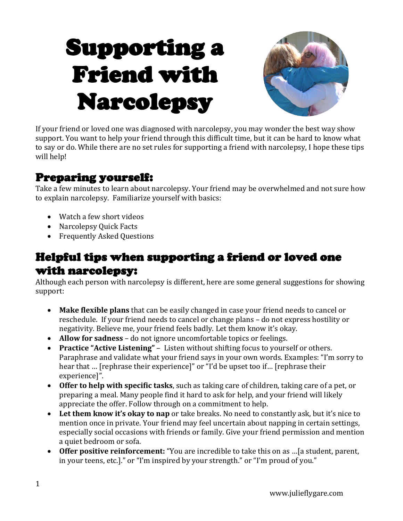# Supporting a Friend with Narcolepsy



If your friend or loved one was diagnosed with narcolepsy, you may wonder the best way show support. You want to help your friend through this difficult time, but it can be hard to know what to say or do. While there are no set rules for supporting a friend with narcolepsy, I hope these tips will help!

#### Preparing yourself:

Take a few minutes to learn about narcolepsy. Your friend may be overwhelmed and not sure how to explain narcolepsy. Familiarize yourself with basics:

- Watch a few short videos
- Narcolepsy Ouick Facts
- Frequently Asked Questions

#### Helpful tips when supporting a friend or loved one with narcolepsy:

Although each person with narcolepsy is different, here are some general suggestions for showing support:

- **Make flexible plans** that can be easily changed in case your friend needs to cancel or reschedule. If your friend needs to cancel or change plans – do not express hostility or negativity. Believe me, your friend feels badly. Let them know it's okay.
- **Allow for sadness** do not ignore uncomfortable topics or feelings.
- **Practice "Active Listening"** Listen without shifting focus to yourself or others. Paraphrase and validate what your friend says in your own words. Examples: "I'm sorry to hear that … [rephrase their experience]" or "I'd be upset too if… [rephrase their experience]".
- **Offer to help with specific tasks**, such as taking care of children, taking care of a pet, or preparing a meal. Many people find it hard to ask for help, and your friend will likely appreciate the offer. Follow through on a commitment to help.
- **Let them know it's okay to nap** or take breaks. No need to constantly ask, but it's nice to mention once in private. Your friend may feel uncertain about napping in certain settings, especially social occasions with friends or family. Give your friend permission and mention a quiet bedroom or sofa.
- **Offer positive reinforcement:** "You are incredible to take this on as …[a student, parent, in your teens, etc.]." or "I'm inspired by your strength." or "I'm proud of you."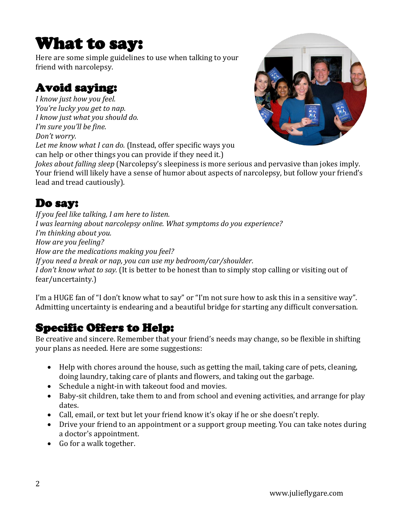## What to say:

Here are some simple guidelines to use when talking to your friend with narcolepsy.

#### Avoid saying:

*I know just how you feel. You're lucky you get to nap. I know just what you should do. I'm sure you'll be fine. Don't worry. Let me know what I can do.* (Instead, offer specific ways you



can help or other things you can provide if they need it.) *Jokes about falling sleep* (Narcolepsy's sleepiness is more serious and pervasive than jokes imply. Your friend will likely have a sense of humor about aspects of narcolepsy, but follow your friend's

lead and tread cautiously).

#### Do say:

*If you feel like talking, I am here to listen. I was learning about narcolepsy online. What symptoms do you experience? I'm thinking about you. How are you feeling? How are the medications making you feel? If you need a break or nap, you can use my bedroom/car/shoulder. I don't know what to say.* (It is better to be honest than to simply stop calling or visiting out of fear/uncertainty.)

I'm a HUGE fan of "I don't know what to say" or "I'm not sure how to ask this in a sensitive way". Admitting uncertainty is endearing and a beautiful bridge for starting any difficult conversation.

#### Specific Offers to Help:

Be creative and sincere. Remember that your friend's needs may change, so be flexible in shifting your plans as needed. Here are some suggestions:

- Help with chores around the house, such as getting the mail, taking care of pets, cleaning, doing laundry, taking care of plants and flowers, and taking out the garbage.
- Schedule a night-in with takeout food and movies.
- Baby-sit children, take them to and from school and evening activities, and arrange for play dates.
- Call, email, or text but let your friend know it's okay if he or she doesn't reply.
- Drive your friend to an appointment or a support group meeting. You can take notes during a doctor's appointment.
- Go for a walk together.